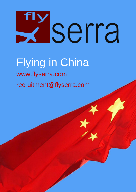# Exserra

# Flying in China www.flyserra.com recruitment@flyserra.com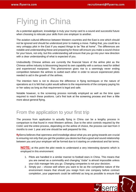# Flying in China

As a potential applicant, knowledge is truly your trump card to a sound and successful future when choosing to relocate your skills from one employer to another.

The aviation cultural difference between Western countries and the East is one which should not be ignored and should be understood prior to making a move. Failing that, you could be a very unhappy pilot in the East if you expect things to be "like at home". The differences are notable and understanding these and preparing for these will ensure you make a sound choice for your future, not only, but this understanding will ensure that you go into your new direction with a clear understanding of what is expected of you.

Undoubtedly Chinese airlines are currently the financial future of the airline pilot as the Chinese airline industry is blossoming beyond its own capability with a serious need for skilled and experienced manpower. This phenomenon gives rise to a seemingly never ending competition between the airlines to outbid each other in order to secure experienced pilots needed to aid in the growth of the airlines.

The intention here is not to discuss the difference in flying techniques or the nature of operations as it is felt that a pilot would adhere to the requirements of the company paying his or her salary as long as that requirement is legal and safe.

Notable however, is the screening process normally employed as well as the time span required to reach these positions. Let's first look at the screening process and then a little more about general flying.

# From the application to your first trip

The process from application to actually flying in China can be a lengthy process in comparison to that found in most Western airlines. Due to the strict controls required by the CAAC and the entire process, depending on the airline of choice, the process can last from 3 months to over 1 year and one should be well prepared for this.

**flySerra** believes that openness and knowledge about what you are going towards are crucial to ensuring not only that you get the position you desire but that a good and sound relationship between you and your employer will be formed due to it starting on understood and fair terms.

**NOTE:** at this point the pilot needs to understand a very interesting dynamic which is employed in this environment:

- 1. Pilots are handled in a similar manner to football stars in China. This means that you are owned as a commodity and changing "clubs" is almost impossible unless your club manager lets you go. Changing companies is not your decision;
- 2. Simply put choose well where you want to be as the competitive nature of the environment means that should you resign from one company before contract completion, your paperwork could be withheld as long as possible to ensure that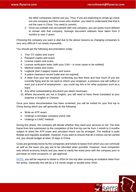the other companies cannot use you. Thus, if you are expecting to simply go check out one company and then move onto another, you need to understand that that is not the case in China. You need to commit;

3. Once you embark into recruitment with one company, you are pretty much defined to remain with that company. Average document releases have taken from 3 months to over 2 years.

Choosing the company you want is vital due to the above reasons as changing companies is very very difficult if not nearly impossible.

You should get the following documentation ready:

- 1. Your CV copies and scans
- 2. Passport copies and scans
- 3. License copies and scans
- 4. License verification letter (with your CAA in most cases to be notified)
- 5. Medical copies and scans
- 6. Logbook (last 3 pages) copies and scans
- 7. A police clearance record (valid and not expired)
- 8. A letter from your last employer confirming you flew there and how much (if you are currently flying and do not want to inform your employer, a previous one will suffice or even just a proof of employment – you could say this is for other purposes such as a loan)
- 9. Any other substantiating document you deem necessary
- 10. Where documents are not in English, you will need to have these translated at your expense in English or Chinese

Once your basic documentation has been screened, you will be invited for your first trip to China during which you will generally do the following:

- Write an ATP exam:
- Undergo a simulator company check ride;
- Undergo a CAAC medical.

During this phase, the company will decide whether they want your services or not. The time frame from first submission to the completion of the first trip can be from 1 month to 3 months subject to when the ATP exam and simulator check can be arranged. The medical is quite flexible and regularly available. However, if you want to ensure that all 3 checks can be carried out, you should budget at least 10 days in China.

Costs are generally borne by the companies and tickets to bases from which you can commute as well as the taxes you pay are to be refunded when possible. However, most companies only refund economy tickets and you need to clarify the ticket price with the company prior to purchase on most occasions i.e. get approval.

**NOTE:** you will be required to obtain a VISA for this trip after receiving an invitation letter from the airline. Generally this will be a 3-6 month single or double entry VISA.

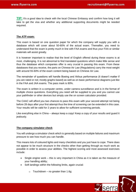**TIP:** It's a good idea to check with the local Chinese Embassy and confirm how long it will take to get the visa and whether any additional supporting documents might be needed required.

#### **The ATP exam:**

This exam is based on one question paper for which the company will supply you with a database which will cover about 50-60% of the actual exam. Thereafter, you need to understand that the exam is pretty much in line with FAA exams and thus your FAA or similar materials will assist greatly.

It is however important to realise that the level of English offered during these exams is at most, challenging. It is not abnormal to find translated questions which make little sense and thus the database which companies offer is very crucial in passing this exam. From these databases that you receive, the parts on Chinese Air Law (Regulations) carry the most weight with around 55-60% of the exam content being based on Chinese Air Law.

The remainder of questions will handle Boeing and Airbus performance (it doesn't matter if you are rated or not; mostly graphs based) as well as on basic performance diagrams just like in the FAA and JAA exams. The pass mark is 80%.

The exam is written in a computer centre, under camera surveillance and is in the format of multiple choice questions. Everything you need will be supplied to you and you cannot use your pathfinder or other devices but simply use the on screen calculator provided.

The CAAC will afford you two chances to pass this exam with your second attempt not being before 28 days after your first attempt thus the time of screening can be extended in this case. Your results will be valid for 2 years to allow for sufficient screening periods.

Like everything else in China – always keep a copy! Keep a copy of your results and guard it jealously.

#### **The company simulator check**

You will undergo a simulator check which is generally based on multiple failures and maximum pressure to see how much you can handle.

This means lots of coloured lights and many checklists and you just have to cope. There does not appear to be much structure in the checks other than getting through as much work as possible in order to assess your abilities. The highest scoring and most assessed exercises include:

- Single engine work this is very important in China as it is taken as the measure of your handling ability;
- Soft landings within the following limits, again crucial:
	- $\circ$  Touchdown no greater than 1.6g:

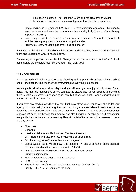**x** serra

- $\circ$  Touchdown distance not less than 300m and not greater than 750m;
- $\circ$  Touchdown horizontal distance not greater than 5m from centre-line;
- Single-engine, no FD, manual, RVR 550, ILS, max crosswind approach this specific exercise is seen as the centre point of a captain's ability to fly the aircraft and is very important in China;
- Emergency descent remember in China you must deviate 6 Nm to the right of track and the rest is pretty much the same as anywhere else;
- Maximum crosswind visual patterns self-explanatory.

If you can do the above and handle multiple failures and checklists, then you are pretty much there and understand what is needed of you.

On passing a company simulator check in China, your next obstacle would be the CAAC check but it means the company has now decided – they want you!

#### **The CAAC medical**

Your first medical in China can be quite daunting as it is practically a first military medical check for selection. This means that: everything but everything is checked.

Normally this will take around two days and you will even get to enjoy an MRI scan of your head. This naturally has benefits as you can take the picture back to your spouse to prove that there is definitely something happening in there but of course, if not, I would suggest you do not as that could be disastrous!

If you have any medical condition that you think may affect your results you should let your agency know so that you can be guided into providing whatever relevant medical record or certificate might be necessary in that case prior to the medical. Pilots who use eye correction (spectacles) must use these in their medical and also bring their second pair and prescription along with them to the medical screening. Herewith a list of items that will be assessed over a two day period:

- Blood test
- Urine test
- Heart: carotid arteries, B-ultrasonic, Cardiac ultrasound
- ENT: Hearing and Valsalva test, sinuses (no polyps), throat
- Ophthalmology (eyes): a standard aviation eye test
- Blood: two test tubes will be drawn and tested for Ph and all contents, blood pressure will be checked and the CAAC standard is 140/90
- Internal medicine examination: inclusive of ultra-sound check
- Surgery examination
- ECG: stationary and after a running exercise
- EEG: in rest position
- X-rays: these are of the chest and pulmonary areas to check for Tb
- Finally MRI & MRA (usually of the head).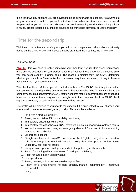It is a long two-day stint and you are advised to be as comfortable as possible. As always lots of good rest and do not fool yourself that alcohol and other substances will not be found. Prepare well as you will get a second chance but only if something small and semi-insignificant is found. Transgressions e.g. drinking equate to an immediate dismissal of your candidacy.

## Time for the second trip

With the above battles successfully won you will move onto your second trip which is primarily based on the CAAC check and if it could not be organised the first time, the ATP check.

#### The CAAC Check

**NOTE:** Here you need to realise something very important. If you fail this check, you get one more chance depending on your performance but if you fail it outright or for the second time, you can never ever fly in China again. The reason is simple; they, the CAAC determine whether you may fly in China while the companies carry their own check out only to have to ask the CAAC if you can fly in China.

This check will last +/-2 hours per pilot or 4 shared hours. The CAAC check is quite standard but can always vary depending on the examiner that you receive. The format is similar to the company check but generally the CAAC test fewer items making it somewhat more structured, however the same items carry as much weight as in the company check. A CAAC check captain, a company captain and an interpreter will be present.

The profile will be provided to you prior to the check but it is suggested that you sharpen your operational procedures knowledge. A typical profile would be similar to:

- 1. Start with a start malfunction;
- 2. Reset, taxi and take-off in min visibility conditions;
- 3. Immediately encounter wind shear;
- 4. Immediately thereafter have a TCAS event while also experiencing a system's failure;
- 5. You will always end-up doing an emergency descent! So expect to lose everything related to pressurization;
- 6. Emergency descent;
- 7. Straight into three stalls: from S&L, on base, on the ILS glideslope (unlike most western schools of thought the emphasis here is to keep flying the approach unless you're under 1000 feet and not stable;
- 8. Non-precision approach with go-around into the pattern (mostly manual);
- 9. Return for landing with an evacuation following some failure;
- 10. Reset for take-off, min visibility again;
- 11. Low speed abort;
- 12. Reset, take-off, failure with severe damage or fire;
- 13. Return for a single-engine, no flight director, manual, minimum RVR, maximum crosswind ILS;
- 14. Land;

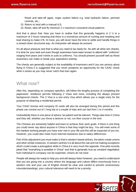Reset and take-off again, major system failure e.g. total hydraulic failure, jammed controls, etc.;

- 15. Return to land with a manual ILS;
- 16. Reset, take-off and fly minimum 2 x maximum crosswind visual patterns.

And that is about that. Now you have to realise that this generally happens in 2  $\frac{1}{2}$  to a maximum of 3 hours meaning that there is a monstrous amount of rushing and resetting and load sharing to make it fit. At most, you will never have the time to settle and handle things in a slowed down structured way. An interpreter will always be present.

It's all about pressure and that is what you need to be ready for. As with all other sim checks, it is time for your best suit even though examiners have been known to attend with "uniforms" ranging from jeans and t-shirts to suits to uniforms. You should present yourself well as these examiners can make or break your aspirations entirely.

The checks are generally subject to the availability of examiners and if you are serious about flying in China it is suggested that you never postpone an opportunity for the CAAC check when it arises as you may never catch that train again.

### What now?

After this, depending on company specifics, will follow the lengthy process of completing the paperwork: residence permits following Z Visas and more, including the always present background checks. The Z Visa is a one entry Visa which allows you a single entry for the purpose of obtaining a residential permit.

Your CAAC license and company ID cards will also be arranged during this period and this phase can consist out of 1 long trip or a couple of trips and can last from 1 to 4 months.

Undoubtedly there is one piece of advice: be patient and be tolerant. Things take time in China and they will, whether you throw a tantrum or not, run their course in the end.

The Chinese are extremely helpful and keen to achieve their work goals. If there is one thing you could never say about anyone in China is that they might be lazy. You will meet some of the hardest working people you have ever met in your life and this will be expected of you too. However, you could also meet much internal resistance due to salary differences.

Part of the adjustment you must make is that in western based airlines, the pilots create unions and other similar instances. In western airlines it is all about the rule and not making exceptions which could create a prerogative while in China it is very much the opposite. One pilot recently joked that "everything is possible in China" and that is generally true as constant negotiation from individual to company can be expected. Unions do not exist.

People will always be ready to help you and will always listen however, you need to understand that you are going into a country where the language and culture differs enormously from a western one and your use of English should be clear and careful to prevent unnecessary misunderstandings; your cultural tolerance will need to be a priority.